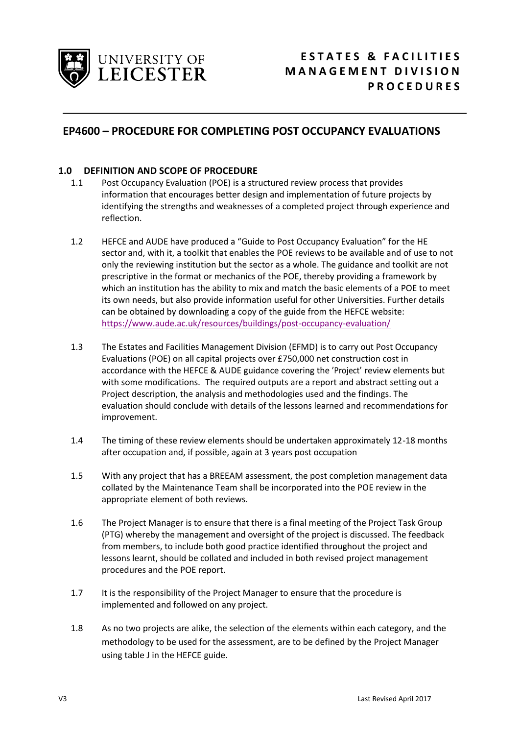

## **EP4600 – PROCEDURE FOR COMPLETING POST OCCUPANCY EVALUATIONS**

## **1.0 DEFINITION AND SCOPE OF PROCEDURE**

- 1.1 Post Occupancy Evaluation (POE) is a structured review process that provides information that encourages better design and implementation of future projects by identifying the strengths and weaknesses of a completed project through experience and reflection.
- 1.2 HEFCE and AUDE have produced a "Guide to Post Occupancy Evaluation" for the HE sector and, with it, a toolkit that enables the POE reviews to be available and of use to not only the reviewing institution but the sector as a whole. The guidance and toolkit are not prescriptive in the format or mechanics of the POE, thereby providing a framework by which an institution has the ability to mix and match the basic elements of a POE to meet its own needs, but also provide information useful for other Universities. Further details can be obtained by downloading a copy of the guide from the HEFCE website: <https://www.aude.ac.uk/resources/buildings/post-occupancy-evaluation/>
- 1.3 The Estates and Facilities Management Division (EFMD) is to carry out Post Occupancy Evaluations (POE) on all capital projects over £750,000 net construction cost in accordance with the HEFCE & AUDE guidance covering the 'Project' review elements but with some modifications. The required outputs are a report and abstract setting out a Project description, the analysis and methodologies used and the findings. The evaluation should conclude with details of the lessons learned and recommendations for improvement.
- 1.4 The timing of these review elements should be undertaken approximately 12-18 months after occupation and, if possible, again at 3 years post occupation
- 1.5 With any project that has a BREEAM assessment, the post completion management data collated by the Maintenance Team shall be incorporated into the POE review in the appropriate element of both reviews.
- 1.6 The Project Manager is to ensure that there is a final meeting of the Project Task Group (PTG) whereby the management and oversight of the project is discussed. The feedback from members, to include both good practice identified throughout the project and lessons learnt, should be collated and included in both revised project management procedures and the POE report.
- 1.7 It is the responsibility of the Project Manager to ensure that the procedure is implemented and followed on any project.
- 1.8 As no two projects are alike, the selection of the elements within each category, and the methodology to be used for the assessment, are to be defined by the Project Manager using table J in the HEFCE guide.